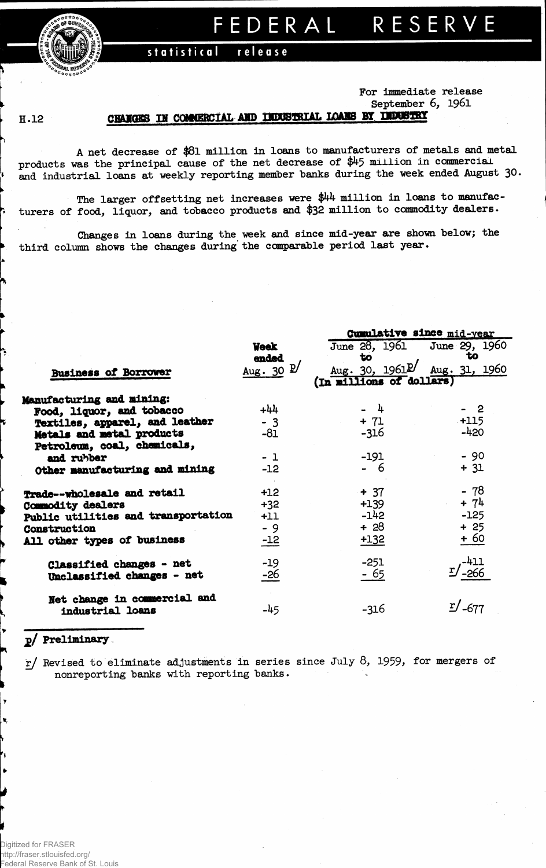**statistical release**

## **For immediate release September 6, 1961**

**Cumulative since mid-year**

## **H.12**

*ffgAwntg TH nnmmanrkr.* **AND UDOSTRIAL LOABB BY DPMBIBI**

**A net decrease of \$8l million in loans to manufacturers of metals and metal products was the principal cause of the net decrease of \$45 million in commercial and industrial loans at weekly reporting member banks during the week ended August 30.**

**The larger offsetting net increases were \$44 million in loans to manufacturers of food, liquor, and tobacco products and \$32 million to commodity dealers.**

**Changes in loans during the week and since mid-year are shown below; the third column shows the changes during the comparable period last year.**

|                                     |                       | $A$ and $A$ and $A$ and $A$ and $A$ and $A$ and $A$ and $A$ and $A$ and $A$ and $A$ and $A$ and $A$ and $A$ and $A$ and $A$ and $A$ and $A$ and $A$ and $A$ and $A$ and $A$ and $A$ and $A$ and $A$ and $A$ and $A$ and $A$ a |                      |  |  |  |  |  |
|-------------------------------------|-----------------------|-------------------------------------------------------------------------------------------------------------------------------------------------------------------------------------------------------------------------------|----------------------|--|--|--|--|--|
|                                     | <b>Week</b>           | June 28, 1961 June 29, 1960                                                                                                                                                                                                   |                      |  |  |  |  |  |
|                                     | ended                 | $\mathbf{t}$                                                                                                                                                                                                                  | to                   |  |  |  |  |  |
| <b>Business of Borrower</b>         | Aug. 30 $\mathbb{P}'$ | Aug. 30, $1961^{\circ}$ Aug. 31, 1960                                                                                                                                                                                         |                      |  |  |  |  |  |
|                                     |                       | (In millions of dollars)                                                                                                                                                                                                      |                      |  |  |  |  |  |
| Manufacturing and mining:           |                       |                                                                                                                                                                                                                               |                      |  |  |  |  |  |
| Food, liquor, and tobacco           | $+44$                 | $-4$                                                                                                                                                                                                                          | - 2                  |  |  |  |  |  |
| Textiles, apparel, and leather      | $-3$                  | $+ 71$                                                                                                                                                                                                                        | $+115$               |  |  |  |  |  |
| Metals and metal products           | -81                   | -316                                                                                                                                                                                                                          | $-420$               |  |  |  |  |  |
| Petroleum, coal, chemicals,         |                       |                                                                                                                                                                                                                               |                      |  |  |  |  |  |
| and rubber                          | $-1$                  | $-191$                                                                                                                                                                                                                        | $-90$                |  |  |  |  |  |
| Other manufacturing and mining      | $-12$                 | - 6                                                                                                                                                                                                                           | $+ 31$               |  |  |  |  |  |
| Trade--wholesale and retail         | $+12$                 | $+ 37$                                                                                                                                                                                                                        | - 78                 |  |  |  |  |  |
| Commodity dealers                   | $+32$                 | $+139$                                                                                                                                                                                                                        | $+ 74$               |  |  |  |  |  |
| Public utilities and transportation | $+11$                 | $-142$                                                                                                                                                                                                                        | $-125$               |  |  |  |  |  |
| Construction                        | $-9$                  | + 28                                                                                                                                                                                                                          | $+25$                |  |  |  |  |  |
| All other types of business         | $-12$                 | $+132$                                                                                                                                                                                                                        | $+60$                |  |  |  |  |  |
| Classified changes - net            | $-19$                 | $-251$                                                                                                                                                                                                                        | $-411$               |  |  |  |  |  |
| Unclassified changes - net          | -26                   | - 65                                                                                                                                                                                                                          | $\frac{r}{266}$      |  |  |  |  |  |
| Net change in commercial and        |                       |                                                                                                                                                                                                                               |                      |  |  |  |  |  |
| industrial loans                    | $-45$                 | $-316$                                                                                                                                                                                                                        | $\mathbb{Z}/_{-677}$ |  |  |  |  |  |
|                                     |                       |                                                                                                                                                                                                                               |                      |  |  |  |  |  |

## **jo/ Preliminary**

*rj* **Revised to eliminate adjustments in series since July 8,** *1959,* **for mergers of nonreporting banks with reporting banks.**